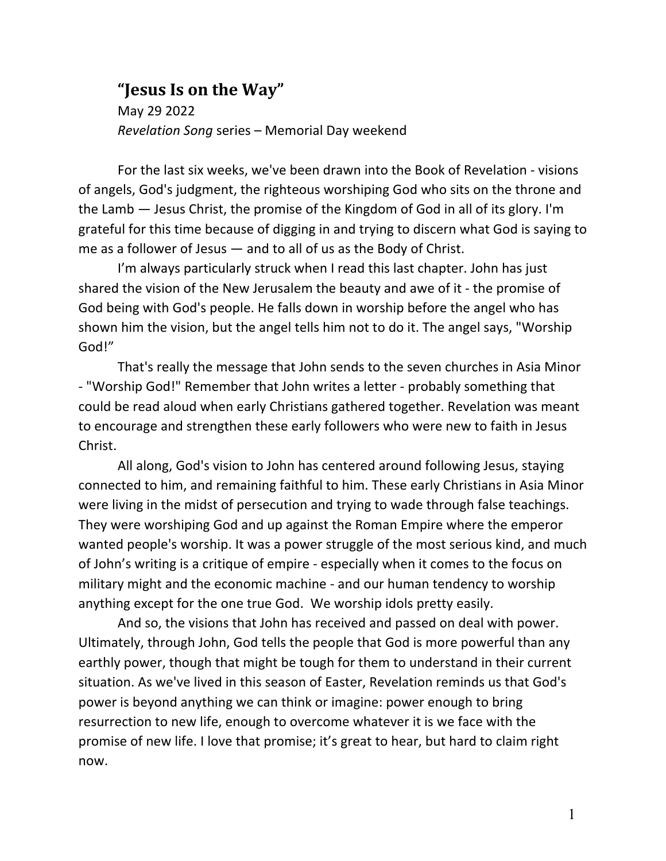## **"Jesus Is on the Way"**

May 29 2022 *Revelation Song* series – Memorial Day weekend

For the last six weeks, we've been drawn into the Book of Revelation - visions of angels, God's judgment, the righteous worshiping God who sits on the throne and the Lamb — Jesus Christ, the promise of the Kingdom of God in all of its glory. I'm grateful for this time because of digging in and trying to discern what God is saying to me as a follower of Jesus — and to all of us as the Body of Christ.

I'm always particularly struck when I read this last chapter. John has just shared the vision of the New Jerusalem the beauty and awe of it - the promise of God being with God's people. He falls down in worship before the angel who has shown him the vision, but the angel tells him not to do it. The angel says, "Worship God!"

That's really the message that John sends to the seven churches in Asia Minor - "Worship God!" Remember that John writes a letter - probably something that could be read aloud when early Christians gathered together. Revelation was meant to encourage and strengthen these early followers who were new to faith in Jesus Christ.

All along, God's vision to John has centered around following Jesus, staying connected to him, and remaining faithful to him. These early Christians in Asia Minor were living in the midst of persecution and trying to wade through false teachings. They were worshiping God and up against the Roman Empire where the emperor wanted people's worship. It was a power struggle of the most serious kind, and much of John's writing is a critique of empire - especially when it comes to the focus on military might and the economic machine - and our human tendency to worship anything except for the one true God. We worship idols pretty easily.

And so, the visions that John has received and passed on deal with power. Ultimately, through John, God tells the people that God is more powerful than any earthly power, though that might be tough for them to understand in their current situation. As we've lived in this season of Easter, Revelation reminds us that God's power is beyond anything we can think or imagine: power enough to bring resurrection to new life, enough to overcome whatever it is we face with the promise of new life. I love that promise; it's great to hear, but hard to claim right now.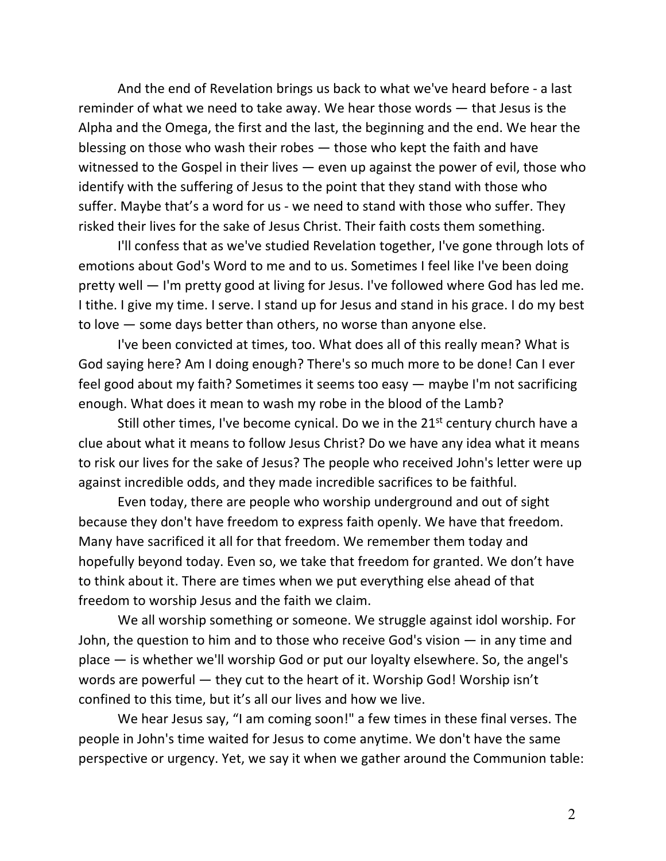And the end of Revelation brings us back to what we've heard before - a last reminder of what we need to take away. We hear those words — that Jesus is the Alpha and the Omega, the first and the last, the beginning and the end. We hear the blessing on those who wash their robes — those who kept the faith and have witnessed to the Gospel in their lives — even up against the power of evil, those who identify with the suffering of Jesus to the point that they stand with those who suffer. Maybe that's a word for us - we need to stand with those who suffer. They risked their lives for the sake of Jesus Christ. Their faith costs them something.

I'll confess that as we've studied Revelation together, I've gone through lots of emotions about God's Word to me and to us. Sometimes I feel like I've been doing pretty well — I'm pretty good at living for Jesus. I've followed where God has led me. I tithe. I give my time. I serve. I stand up for Jesus and stand in his grace. I do my best to love — some days better than others, no worse than anyone else.

I've been convicted at times, too. What does all of this really mean? What is God saying here? Am I doing enough? There's so much more to be done! Can I ever feel good about my faith? Sometimes it seems too easy — maybe I'm not sacrificing enough. What does it mean to wash my robe in the blood of the Lamb?

Still other times, I've become cynical. Do we in the  $21<sup>st</sup>$  century church have a clue about what it means to follow Jesus Christ? Do we have any idea what it means to risk our lives for the sake of Jesus? The people who received John's letter were up against incredible odds, and they made incredible sacrifices to be faithful.

Even today, there are people who worship underground and out of sight because they don't have freedom to express faith openly. We have that freedom. Many have sacrificed it all for that freedom. We remember them today and hopefully beyond today. Even so, we take that freedom for granted. We don't have to think about it. There are times when we put everything else ahead of that freedom to worship Jesus and the faith we claim.

We all worship something or someone. We struggle against idol worship. For John, the question to him and to those who receive God's vision — in any time and place — is whether we'll worship God or put our loyalty elsewhere. So, the angel's words are powerful — they cut to the heart of it. Worship God! Worship isn't confined to this time, but it's all our lives and how we live.

We hear Jesus say, "I am coming soon!" a few times in these final verses. The people in John's time waited for Jesus to come anytime. We don't have the same perspective or urgency. Yet, we say it when we gather around the Communion table: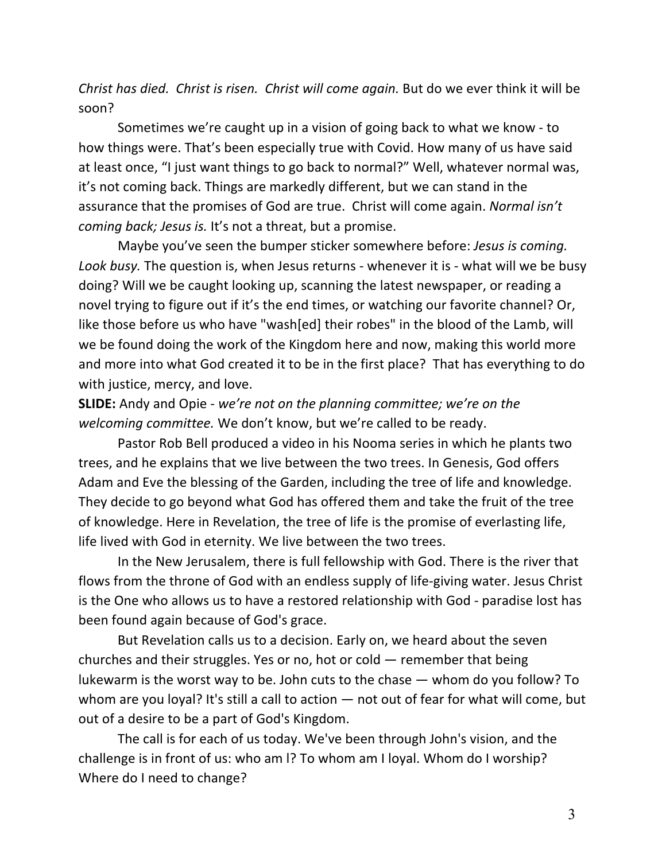*Christ has died. Christ is risen. Christ will come again.* But do we ever think it will be soon?

Sometimes we're caught up in a vision of going back to what we know - to how things were. That's been especially true with Covid. How many of us have said at least once, "I just want things to go back to normal?" Well, whatever normal was, it's not coming back. Things are markedly different, but we can stand in the assurance that the promises of God are true. Christ will come again. *Normal isn't coming back; Jesus is.* It's not a threat, but a promise.

Maybe you've seen the bumper sticker somewhere before: *Jesus is coming. Look busy.* The question is, when Jesus returns - whenever it is - what will we be busy doing? Will we be caught looking up, scanning the latest newspaper, or reading a novel trying to figure out if it's the end times, or watching our favorite channel? Or, like those before us who have "wash[ed] their robes" in the blood of the Lamb, will we be found doing the work of the Kingdom here and now, making this world more and more into what God created it to be in the first place? That has everything to do with justice, mercy, and love.

**SLIDE:** Andy and Opie - *we're not on the planning committee; we're on the welcoming committee.* We don't know, but we're called to be ready.

Pastor Rob Bell produced a video in his Nooma series in which he plants two trees, and he explains that we live between the two trees. In Genesis, God offers Adam and Eve the blessing of the Garden, including the tree of life and knowledge. They decide to go beyond what God has offered them and take the fruit of the tree of knowledge. Here in Revelation, the tree of life is the promise of everlasting life, life lived with God in eternity. We live between the two trees.

In the New Jerusalem, there is full fellowship with God. There is the river that flows from the throne of God with an endless supply of life-giving water. Jesus Christ is the One who allows us to have a restored relationship with God - paradise lost has been found again because of God's grace.

But Revelation calls us to a decision. Early on, we heard about the seven churches and their struggles. Yes or no, hot or cold — remember that being lukewarm is the worst way to be. John cuts to the chase — whom do you follow? To whom are you loyal? It's still a call to action — not out of fear for what will come, but out of a desire to be a part of God's Kingdom.

The call is for each of us today. We've been through John's vision, and the challenge is in front of us: who am l? To whom am I loyal. Whom do I worship? Where do I need to change?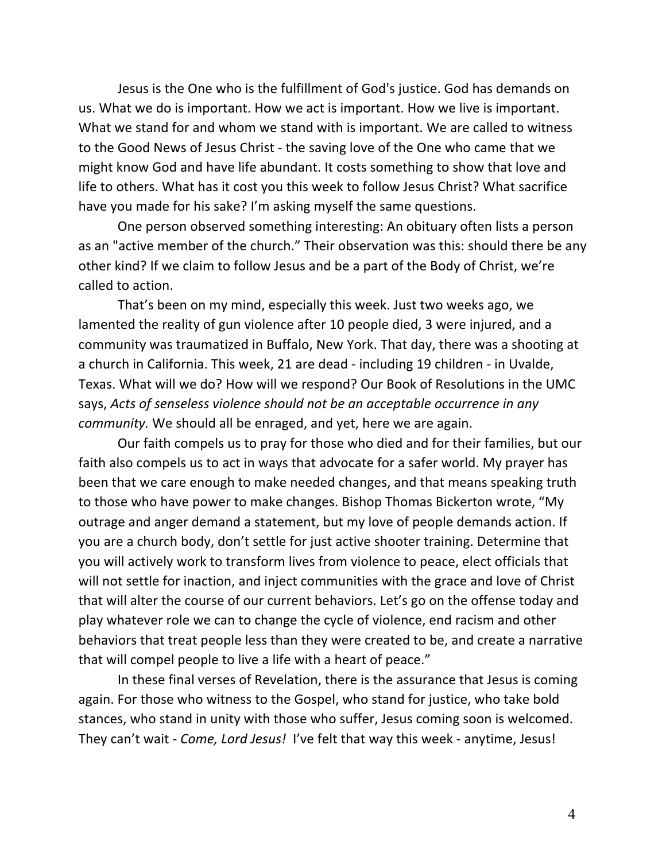Jesus is the One who is the fulfillment of God's justice. God has demands on us. What we do is important. How we act is important. How we live is important. What we stand for and whom we stand with is important. We are called to witness to the Good News of Jesus Christ - the saving love of the One who came that we might know God and have life abundant. It costs something to show that love and life to others. What has it cost you this week to follow Jesus Christ? What sacrifice have you made for his sake? I'm asking myself the same questions.

One person observed something interesting: An obituary often lists a person as an "active member of the church." Their observation was this: should there be any other kind? If we claim to follow Jesus and be a part of the Body of Christ, we're called to action.

That's been on my mind, especially this week. Just two weeks ago, we lamented the reality of gun violence after 10 people died, 3 were injured, and a community was traumatized in Buffalo, New York. That day, there was a shooting at a church in California. This week, 21 are dead - including 19 children - in Uvalde, Texas. What will we do? How will we respond? Our Book of Resolutions in the UMC says, *Acts of senseless violence should not be an acceptable occurrence in any community.* We should all be enraged, and yet, here we are again.

Our faith compels us to pray for those who died and for their families, but our faith also compels us to act in ways that advocate for a safer world. My prayer has been that we care enough to make needed changes, and that means speaking truth to those who have power to make changes. Bishop Thomas Bickerton wrote, "My outrage and anger demand a statement, but my love of people demands action. If you are a church body, don't settle for just active shooter training. Determine that you will actively work to transform lives from violence to peace, elect officials that will not settle for inaction, and inject communities with the grace and love of Christ that will alter the course of our current behaviors. Let's go on the offense today and play whatever role we can to change the cycle of violence, end racism and other behaviors that treat people less than they were created to be, and create a narrative that will compel people to live a life with a heart of peace."

In these final verses of Revelation, there is the assurance that Jesus is coming again. For those who witness to the Gospel, who stand for justice, who take bold stances, who stand in unity with those who suffer, Jesus coming soon is welcomed. They can't wait - *Come, Lord Jesus!* I've felt that way this week - anytime, Jesus!